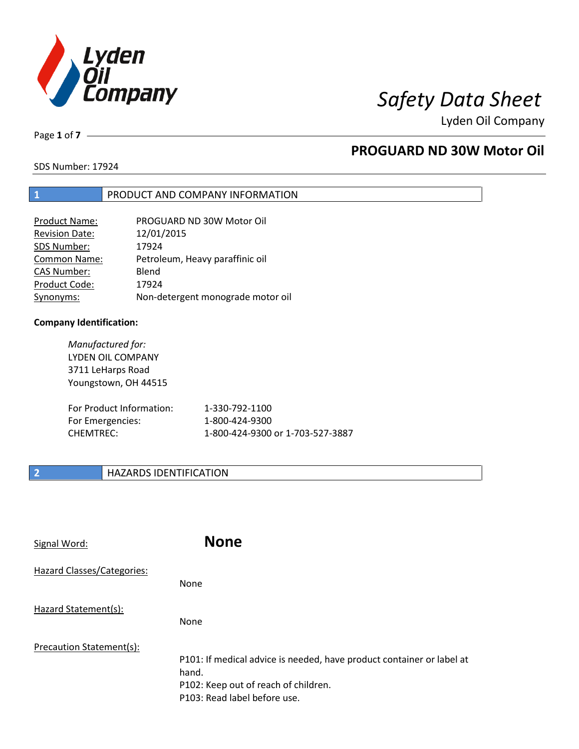

Page **1** of **7**

## **PROGUARD ND 30W Motor Oil**

SDS Number: 17924

### **1** PRODUCT AND COMPANY INFORMATION

| Product Name:         | PROGUARD ND 30W Motor Oil         |
|-----------------------|-----------------------------------|
| <b>Revision Date:</b> | 12/01/2015                        |
| SDS Number:           | 17924                             |
| <b>Common Name:</b>   | Petroleum, Heavy paraffinic oil   |
| <b>CAS Number:</b>    | Blend                             |
| Product Code:         | 17924                             |
| Synonyms:             | Non-detergent monograde motor oil |

#### **Company Identification:**

*Manufactured for:* LYDEN OIL COMPANY 3711 LeHarps Road Youngstown, OH 44515 For Product Information: 1-330-792-1100 For Emergencies: 1-800-424-9300 CHEMTREC: 1-800-424-9300 or 1-703-527-3887

### **2 HAZARDS IDENTIFICATION**

| Signal Word:               | <b>None</b>                                                                                                                                            |
|----------------------------|--------------------------------------------------------------------------------------------------------------------------------------------------------|
| Hazard Classes/Categories: | None                                                                                                                                                   |
| Hazard Statement(s):       | None                                                                                                                                                   |
| Precaution Statement(s):   | P101: If medical advice is needed, have product container or label at<br>hand.<br>P102: Keep out of reach of children.<br>P103: Read label before use. |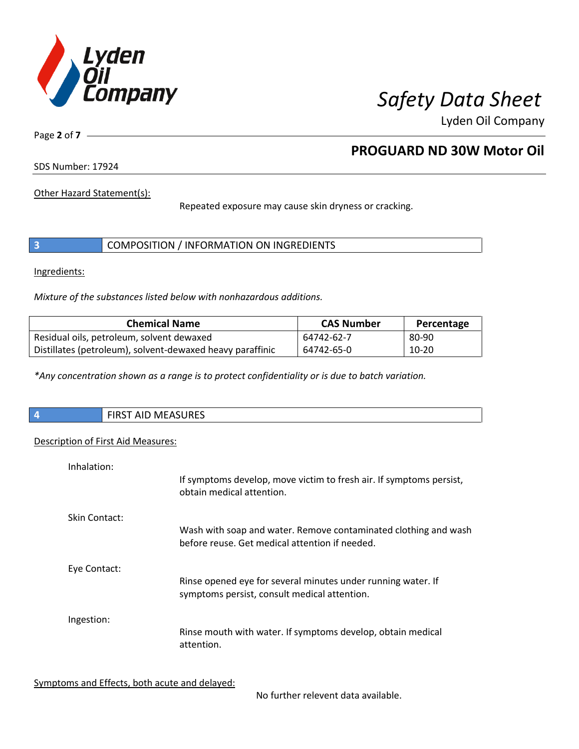

Page **2** of **7**

## **PROGUARD ND 30W Motor Oil**

SDS Number: 17924

Other Hazard Statement(s):

Repeated exposure may cause skin dryness or cracking.

|  | COMPOSITION / INFORMATION ON INGREDIENTS |  |
|--|------------------------------------------|--|
|--|------------------------------------------|--|

Ingredients:

*Mixture of the substances listed below with nonhazardous additions.*

| <b>Chemical Name</b>                                      | <b>CAS Number</b> | Percentage |
|-----------------------------------------------------------|-------------------|------------|
| Residual oils, petroleum, solvent dewaxed                 | 64742-62-7        | 80-90      |
| Distillates (petroleum), solvent-dewaxed heavy paraffinic | 64742-65-0        | 10-20      |

*\*Any concentration shown as a range is to protect confidentiality or is due to batch variation.*

| $\overline{\phantom{a}}$ | RST AID MEASURES<br>כחו־ |
|--------------------------|--------------------------|
|                          |                          |

### Description of First Aid Measures:

| Inhalation:   | If symptoms develop, move victim to fresh air. If symptoms persist,<br>obtain medical attention.                  |
|---------------|-------------------------------------------------------------------------------------------------------------------|
| Skin Contact: | Wash with soap and water. Remove contaminated clothing and wash<br>before reuse. Get medical attention if needed. |
| Eye Contact:  | Rinse opened eye for several minutes under running water. If<br>symptoms persist, consult medical attention.      |
| Ingestion:    | Rinse mouth with water. If symptoms develop, obtain medical<br>attention.                                         |

Symptoms and Effects, both acute and delayed:

No further relevent data available.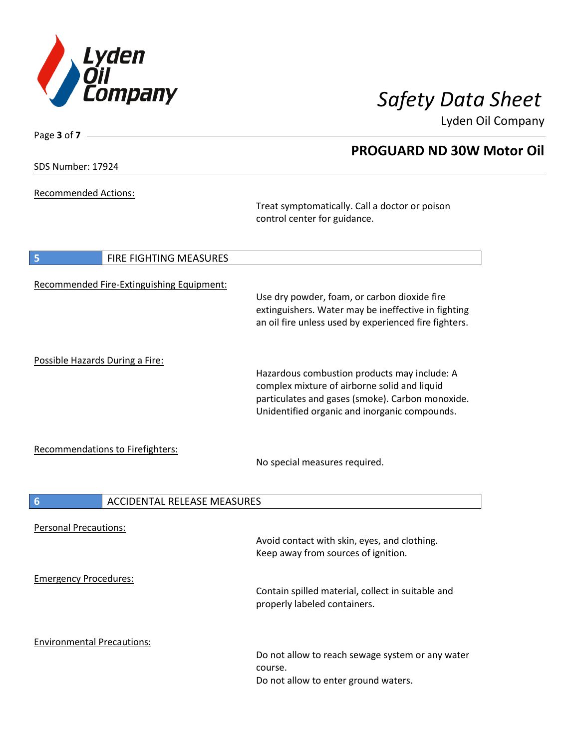

SDS Number: 17924

Page **3** of **7**

Recommended Actions:

Treat symptomatically. Call a doctor or poison control center for guidance.

| FIRE FIGHTING MEASURES<br>5               |                                                                                                                                                                                                   |
|-------------------------------------------|---------------------------------------------------------------------------------------------------------------------------------------------------------------------------------------------------|
| Recommended Fire-Extinguishing Equipment: | Use dry powder, foam, or carbon dioxide fire<br>extinguishers. Water may be ineffective in fighting<br>an oil fire unless used by experienced fire fighters.                                      |
| Possible Hazards During a Fire:           | Hazardous combustion products may include: A<br>complex mixture of airborne solid and liquid<br>particulates and gases (smoke). Carbon monoxide.<br>Unidentified organic and inorganic compounds. |
| Recommendations to Firefighters:          | No special measures required.                                                                                                                                                                     |
| 6<br><b>ACCIDENTAL RELEASE MEASURES</b>   |                                                                                                                                                                                                   |
| <b>Personal Precautions:</b>              | Avoid contact with skin, eyes, and clothing.<br>Keep away from sources of ignition.                                                                                                               |
| <b>Emergency Procedures:</b>              | Contain spilled material, collect in suitable and<br>properly labeled containers.                                                                                                                 |
| <b>Environmental Precautions:</b>         | Do not allow to reach sewage system or any water<br>course.                                                                                                                                       |

## **PROGUARD ND 30W Motor Oil**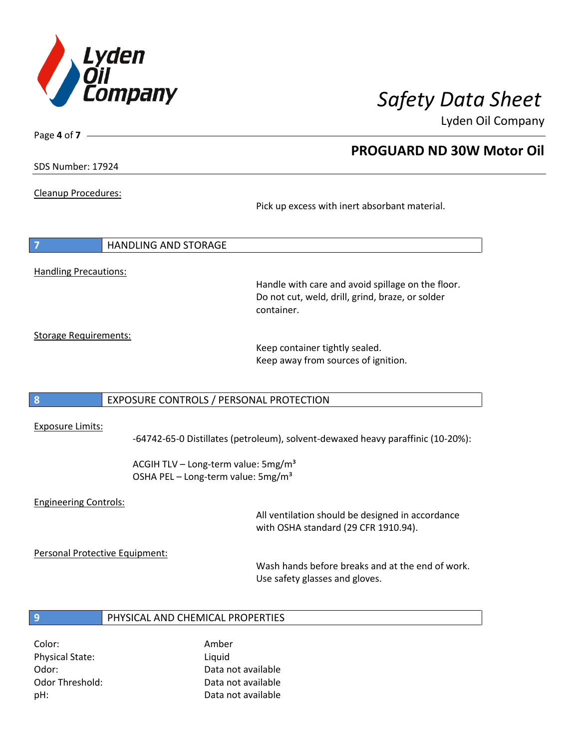

**PROGUARD ND 30W Motor Oil**

Lyden Oil Company

SDS Number: 17924

Page **4** of **7**

Cleanup Procedures:

Pick up excess with inert absorbant material.

**7** HANDLING AND STORAGE Handling Precautions:

Handle with care and avoid spillage on the floor. Do not cut, weld, drill, grind, braze, or solder container.

Storage Requirements:

Keep container tightly sealed. Keep away from sources of ignition.

### **8** EXPOSURE CONTROLS / PERSONAL PROTECTION

#### Exposure Limits:

-64742-65-0 Distillates (petroleum), solvent-dewaxed heavy paraffinic (10-20%):

ACGIH TLV – Long-term value:  $5mg/m<sup>3</sup>$ OSHA PEL - Long-term value: 5mg/m<sup>3</sup>

### Engineering Controls:

All ventilation should be designed in accordance with OSHA standard (29 CFR 1910.94).

Personal Protective Equipment:

Wash hands before breaks and at the end of work. Use safety glasses and gloves.

### **9** PHYSICAL AND CHEMICAL PROPERTIES

Color: Amber Physical State: Liquid

Odor: Data not available Odor Threshold: Data not available pH: Data not available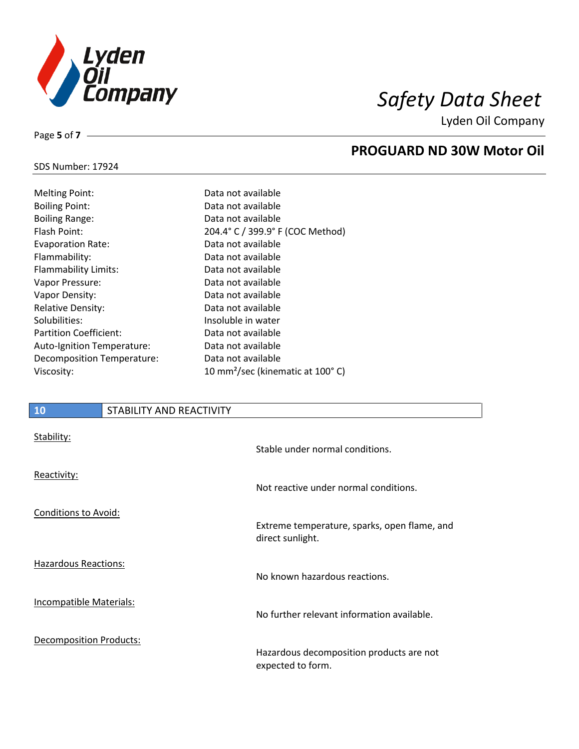

**PROGUARD ND 30W Motor Oil**

Lyden Oil Company

## SDS Number: 17924

Page **5** of **7**

| Data not available                           |
|----------------------------------------------|
| Data not available                           |
| Data not available                           |
| 204.4° C / 399.9° F (COC Method)             |
| Data not available                           |
| Data not available                           |
| Data not available                           |
| Data not available                           |
| Data not available                           |
| Data not available                           |
| Insoluble in water                           |
| Data not available                           |
| Data not available                           |
| Data not available                           |
| 10 mm <sup>2</sup> /sec (kinematic at 100°C) |
|                                              |

### **10** STABILITY AND REACTIVITY

| Stability:                     | Stable under normal conditions.                                  |
|--------------------------------|------------------------------------------------------------------|
| Reactivity:                    | Not reactive under normal conditions.                            |
| <b>Conditions to Avoid:</b>    | Extreme temperature, sparks, open flame, and<br>direct sunlight. |
| Hazardous Reactions:           | No known hazardous reactions.                                    |
| <b>Incompatible Materials:</b> | No further relevant information available.                       |
| Decomposition Products:        | Hazardous decomposition products are not<br>expected to form.    |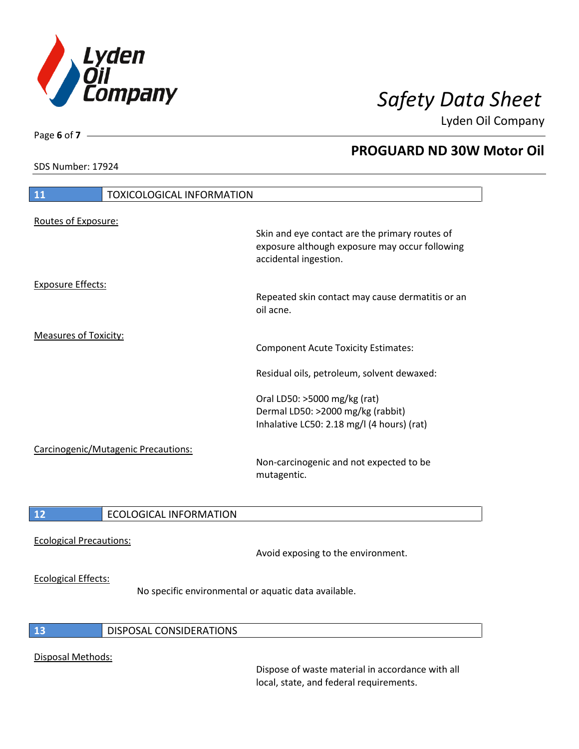

SDS Number: 17924

Page **6** of **7**

## **PROGUARD ND 30W Motor Oil**

| 11                           | <b>TOXICOLOGICAL INFORMATION</b>    |                                                                                                                                                                                                             |
|------------------------------|-------------------------------------|-------------------------------------------------------------------------------------------------------------------------------------------------------------------------------------------------------------|
| Routes of Exposure:          |                                     | Skin and eye contact are the primary routes of<br>exposure although exposure may occur following<br>accidental ingestion.                                                                                   |
| <b>Exposure Effects:</b>     |                                     | Repeated skin contact may cause dermatitis or an<br>oil acne.                                                                                                                                               |
| <b>Measures of Toxicity:</b> |                                     | <b>Component Acute Toxicity Estimates:</b><br>Residual oils, petroleum, solvent dewaxed:<br>Oral LD50: >5000 mg/kg (rat)<br>Dermal LD50: >2000 mg/kg (rabbit)<br>Inhalative LC50: 2.18 mg/l (4 hours) (rat) |
|                              | Carcinogenic/Mutagenic Precautions: | Non-carcinogenic and not expected to be<br>mutagentic.                                                                                                                                                      |
| 12                           | <b>ECOLOGICAL INFORMATION</b>       |                                                                                                                                                                                                             |

# Ecological Precautions:

Avoid exposing to the environment.

### Ecological Effects:

No specific environmental or aquatic data available.

### **13** DISPOSAL CONSIDERATIONS

### Disposal Methods:

Dispose of waste material in accordance with all local, state, and federal requirements.